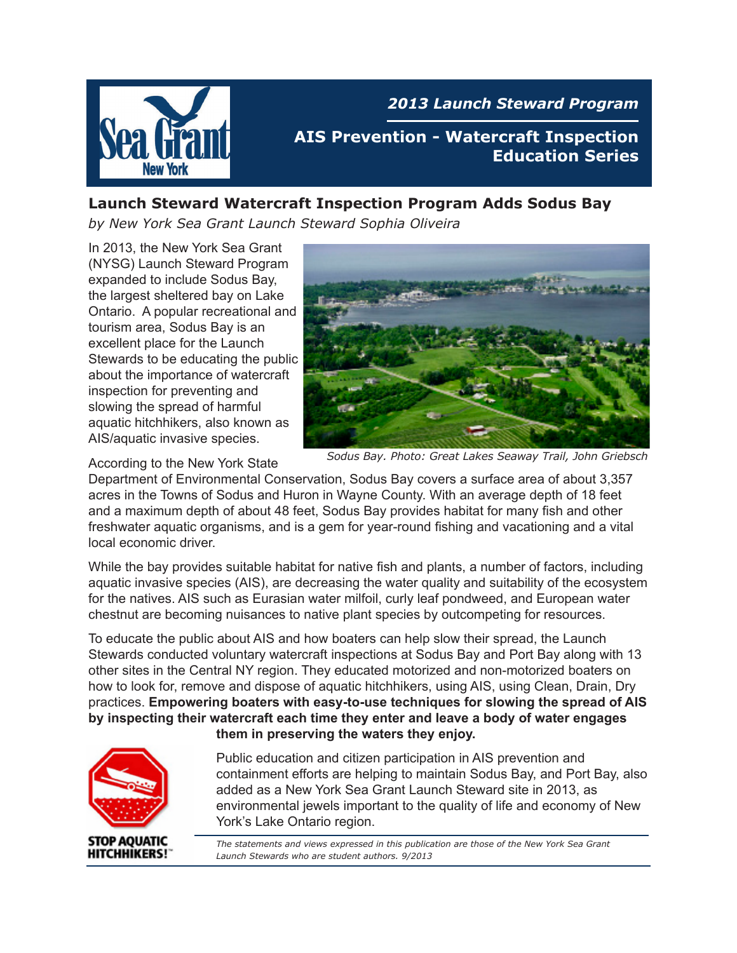

*2013 Launch Steward Program*

**AIS Prevention - Watercraft Inspection Education Series**

#### **Launch Steward Watercraft Inspection Program Adds Sodus Bay**

*by New York Sea Grant Launch Steward Sophia Oliveira*

In 2013, the New York Sea Grant (NYSG) Launch Steward Program expanded to include Sodus Bay, the largest sheltered bay on Lake Ontario. A popular recreational and tourism area, Sodus Bay is an excellent place for the Launch Stewards to be educating the public about the importance of watercraft inspection for preventing and slowing the spread of harmful aquatic hitchhikers, also known as AIS/aquatic invasive species.



According to the New York State *Sodus Bay. Photo: Great Lakes Seaway Trail, John Griebsch* 

Department of Environmental Conservation, Sodus Bay covers a surface area of about 3,357 acres in the Towns of Sodus and Huron in Wayne County. With an average depth of 18 feet and a maximum depth of about 48 feet, Sodus Bay provides habitat for many fish and other freshwater aquatic organisms, and is a gem for year-round fishing and vacationing and a vital local economic driver.

While the bay provides suitable habitat for native fish and plants, a number of factors, including aquatic invasive species (AIS), are decreasing the water quality and suitability of the ecosystem for the natives. AIS such as Eurasian water milfoil, curly leaf pondweed, and European water chestnut are becoming nuisances to native plant species by outcompeting for resources.

To educate the public about AIS and how boaters can help slow their spread, the Launch Stewards conducted voluntary watercraft inspections at Sodus Bay and Port Bay along with 13 other sites in the Central NY region. They educated motorized and non-motorized boaters on how to look for, remove and dispose of aquatic hitchhikers, using AIS, using Clean, Drain, Dry practices. **Empowering boaters with easy-to-use techniques for slowing the spread of AIS by inspecting their watercraft each time they enter and leave a body of water engages them in preserving the waters they enjoy.**



Public education and citizen participation in AIS prevention and containment efforts are helping to maintain Sodus Bay, and Port Bay, also added as a New York Sea Grant Launch Steward site in 2013, as environmental jewels important to the quality of life and economy of New York's Lake Ontario region.

*The statements and views expressed in this publication are those of the New York Sea Grant Launch Stewards who are student authors. 9/2013*